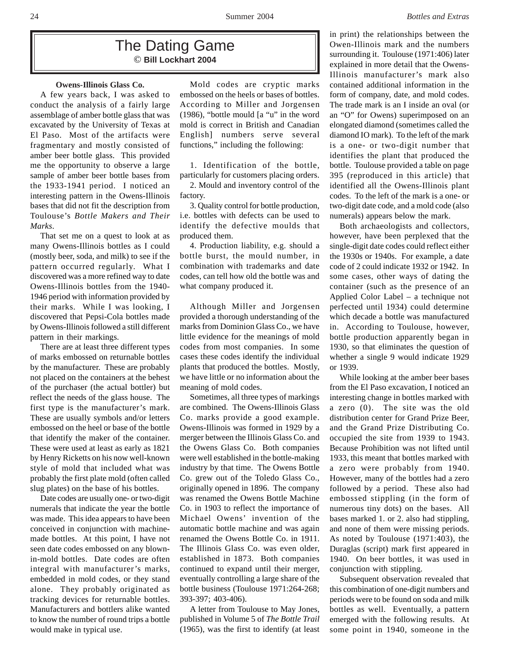# The Dating Game © **Bill Lockhart 2004**

A few years back, I was asked to conduct the analysis of a fairly large assemblage of amber bottle glass that was excavated by the University of Texas at El Paso. Most of the artifacts were fragmentary and mostly consisted of amber beer bottle glass. This provided me the opportunity to observe a large sample of amber beer bottle bases from the 1933-1941 period. I noticed an interesting pattern in the Owens-Illinois bases that did not fit the description from Toulouse's *Bottle Makers and Their Marks*.

That set me on a quest to look at as many Owens-Illinois bottles as I could (mostly beer, soda, and milk) to see if the pattern occurred regularly. What I discovered was a more refined way to date Owens-Illinois bottles from the 1940- 1946 period with information provided by their marks. While I was looking, I discovered that Pepsi-Cola bottles made by Owens-Illinois followed a still different pattern in their markings.

There are at least three different types of marks embossed on returnable bottles by the manufacturer. These are probably not placed on the containers at the behest of the purchaser (the actual bottler) but reflect the needs of the glass house. The first type is the manufacturer's mark. These are usually symbols and/or letters embossed on the heel or base of the bottle that identify the maker of the container. These were used at least as early as 1821 by Henry Ricketts on his now well-known style of mold that included what was probably the first plate mold (often called slug plates) on the base of his bottles.

Date codes are usually one- or two-digit numerals that indicate the year the bottle was made. This idea appears to have been conceived in conjunction with machinemade bottles. At this point, I have not seen date codes embossed on any blownin-mold bottles. Date codes are often integral with manufacturer's marks, embedded in mold codes, or they stand alone. They probably originated as tracking devices for returnable bottles. Manufacturers and bottlers alike wanted to know the number of round trips a bottle would make in typical use.

**Owens-Illinois Glass Co.** Mold codes are cryptic marks embossed on the heels or bases of bottles. According to Miller and Jorgensen (1986), "bottle mould [a "u" in the word mold is correct in British and Canadian English] numbers serve several functions," including the following:

> 1. Identification of the bottle, particularly for customers placing orders.

> 2. Mould and inventory control of the factory.

> 3. Quality control for bottle production, i.e. bottles with defects can be used to identify the defective moulds that produced them.

> 4. Production liability, e.g. should a bottle burst, the mould number, in combination with trademarks and date codes, can tell how old the bottle was and what company produced it.

> Although Miller and Jorgensen provided a thorough understanding of the marks from Dominion Glass Co., we have little evidence for the meanings of mold codes from most companies. In some cases these codes identify the individual plants that produced the bottles. Mostly, we have little or no information about the meaning of mold codes.

> Sometimes, all three types of markings are combined. The Owens-Illinois Glass Co. marks provide a good example. Owens-Illinois was formed in 1929 by a merger between the Illinois Glass Co. and the Owens Glass Co. Both companies were well established in the bottle-making industry by that time. The Owens Bottle Co. grew out of the Toledo Glass Co., originally opened in 1896. The company was renamed the Owens Bottle Machine Co. in 1903 to reflect the importance of Michael Owens' invention of the automatic bottle machine and was again renamed the Owens Bottle Co. in 1911. The Illinois Glass Co. was even older, established in 1873. Both companies continued to expand until their merger, eventually controlling a large share of the bottle business (Toulouse 1971:264-268; 393-397; 403-406).

A letter from Toulouse to May Jones, published in Volume 5 of *The Bottle Trail* (1965), was the first to identify (at least in print) the relationships between the Owen-Illinois mark and the numbers surrounding it. Toulouse (1971:406) later explained in more detail that the Owens-Illinois manufacturer's mark also contained additional information in the form of company, date, and mold codes. The trade mark is an I inside an oval (or an "O" for Owens) superimposed on an elongated diamond (sometimes called the diamond IO mark). To the left of the mark is a one- or two-digit number that identifies the plant that produced the bottle. Toulouse provided a table on page 395 (reproduced in this article) that identified all the Owens-Illinois plant codes. To the left of the mark is a one- or two-digit date code, and a mold code (also numerals) appears below the mark.

Both archaeologists and collectors, however, have been perplexed that the single-digit date codes could reflect either the 1930s or 1940s. For example, a date code of 2 could indicate 1932 or 1942. In some cases, other ways of dating the container (such as the presence of an Applied Color Label – a technique not perfected until 1934) could determine which decade a bottle was manufactured in. According to Toulouse, however, bottle production apparently began in 1930, so that eliminates the question of whether a single 9 would indicate 1929 or 1939.

While looking at the amber beer bases from the El Paso excavation, I noticed an interesting change in bottles marked with a zero (0). The site was the old distribution center for Grand Prize Beer, and the Grand Prize Distributing Co. occupied the site from 1939 to 1943. Because Prohibition was not lifted until 1933, this meant that bottles marked with a zero were probably from 1940. However, many of the bottles had a zero followed by a period. These also had embossed stippling (in the form of numerous tiny dots) on the bases. All bases marked 1. or 2. also had stippling, and none of them were missing periods. As noted by Toulouse (1971:403), the Duraglas (script) mark first appeared in 1940. On beer bottles, it was used in conjunction with stippling.

Subsequent observation revealed that this combination of one-digit numbers and periods were to be found on soda and milk bottles as well. Eventually, a pattern emerged with the following results. At some point in 1940, someone in the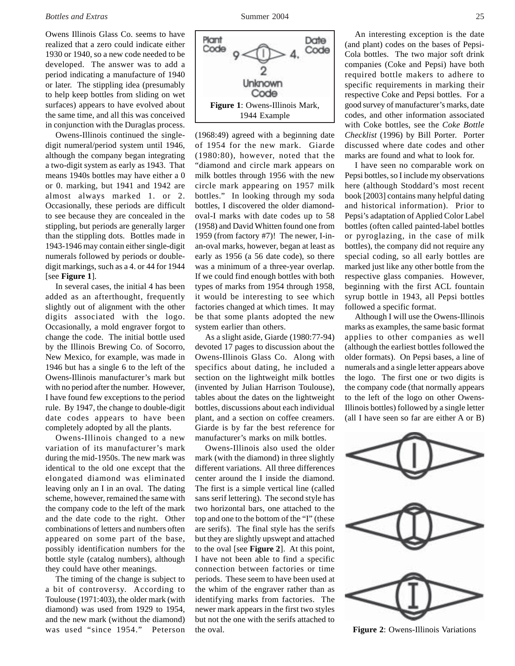Owens Illinois Glass Co. seems to have realized that a zero could indicate either 1930 or 1940, so a new code needed to be developed. The answer was to add a period indicating a manufacture of 1940 or later. The stippling idea (presumably to help keep bottles from sliding on wet surfaces) appears to have evolved about the same time, and all this was conceived in conjunction with the Duraglas process.

Owens-Illinois continued the singledigit numeral/period system until 1946, although the company began integrating a two-digit system as early as 1943. That means 1940s bottles may have either a 0 or 0. marking, but 1941 and 1942 are almost always marked 1. or 2. Occasionally, these periods are difficult to see because they are concealed in the stippling, but periods are generally larger than the stippling dots. Bottles made in 1943-1946 may contain either single-digit numerals followed by periods or doubledigit markings, such as a 4. or 44 for 1944 [see **Figure 1**].

In several cases, the initial 4 has been added as an afterthought, frequently slightly out of alignment with the other digits associated with the logo. Occasionally, a mold engraver forgot to change the code. The initial bottle used by the Illinois Brewing Co. of Socorro, New Mexico, for example, was made in 1946 but has a single 6 to the left of the Owens-Illinois manufacturer's mark but with no period after the number. However, I have found few exceptions to the period rule. By 1947, the change to double-digit date codes appears to have been completely adopted by all the plants.

Owens-Illinois changed to a new variation of its manufacturer's mark during the mid-1950s. The new mark was identical to the old one except that the elongated diamond was eliminated leaving only an I in an oval. The dating scheme, however, remained the same with the company code to the left of the mark and the date code to the right. Other combinations of letters and numbers often appeared on some part of the base, possibly identification numbers for the bottle style (catalog numbers), although they could have other meanings.

The timing of the change is subject to a bit of controversy. According to Toulouse (1971:403), the older mark (with diamond) was used from 1929 to 1954, and the new mark (without the diamond) was used "since 1954." Peterson



(1968:49) agreed with a beginning date of 1954 for the new mark. Giarde (1980:80), however, noted that the "diamond and circle mark appears on milk bottles through 1956 with the new circle mark appearing on 1957 milk bottles." In looking through my soda bottles, I discovered the older diamondoval-I marks with date codes up to 58 (1958) and David Whitten found one from 1959 (from factory #7)! The newer, I-inan-oval marks, however, began at least as early as 1956 (a 56 date code), so there was a minimum of a three-year overlap. If we could find enough bottles with both types of marks from 1954 through 1958, it would be interesting to see which factories changed at which times. It may be that some plants adopted the new system earlier than others.

As a slight aside, Giarde (1980:77-94) devoted 17 pages to discussion about the Owens-Illinois Glass Co. Along with specifics about dating, he included a section on the lightweight milk bottles (invented by Julian Harrison Toulouse), tables about the dates on the lightweight bottles, discussions about each individual plant, and a section on coffee creamers. Giarde is by far the best reference for manufacturer's marks on milk bottles.

Owens-Illinois also used the older mark (with the diamond) in three slightly different variations. All three differences center around the I inside the diamond. The first is a simple vertical line (called sans serif lettering). The second style has two horizontal bars, one attached to the top and one to the bottom of the "I" (these are serifs). The final style has the serifs but they are slightly upswept and attached to the oval [see **Figure 2**]. At this point, I have not been able to find a specific connection between factories or time periods. These seem to have been used at the whim of the engraver rather than as identifying marks from factories. The newer mark appears in the first two styles but not the one with the serifs attached to the oval.

An interesting exception is the date (and plant) codes on the bases of Pepsi-Cola bottles. The two major soft drink companies (Coke and Pepsi) have both required bottle makers to adhere to specific requirements in marking their respective Coke and Pepsi bottles. For a good survey of manufacturer's marks, date codes, and other information associated with Coke bottles, see the *Coke Bottle Checklist* (1996) by Bill Porter. Porter discussed where date codes and other marks are found and what to look for.

I have seen no comparable work on Pepsi bottles, so I include my observations here (although Stoddard's most recent book [2003] contains many helpful dating and historical information). Prior to Pepsi's adaptation of Applied Color Label bottles (often called painted-label bottles or pyroglazing, in the case of milk bottles), the company did not require any special coding, so all early bottles are marked just like any other bottle from the respective glass companies. However, beginning with the first ACL fountain syrup bottle in 1943, all Pepsi bottles followed a specific format.

Although I will use the Owens-Illinois marks as examples, the same basic format applies to other companies as well (although the earliest bottles followed the older formats). On Pepsi bases, a line of numerals and a single letter appears above the logo. The first one or two digits is the company code (that normally appears to the left of the logo on other Owens-Illinois bottles) followed by a single letter (all I have seen so far are either A or B)



**Figure 2**: Owens-Illinois Variations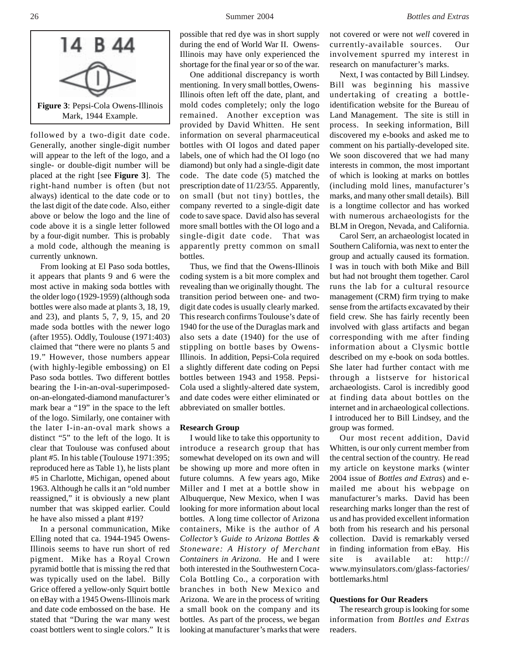

followed by a two-digit date code. Generally, another single-digit number will appear to the left of the logo, and a single- or double-digit number will be placed at the right [see **Figure 3**]. The right-hand number is often (but not always) identical to the date code or to the last digit of the date code. Also, either above or below the logo and the line of code above it is a single letter followed by a four-digit number. This is probably a mold code, although the meaning is currently unknown.

From looking at El Paso soda bottles, it appears that plants 9 and 6 were the most active in making soda bottles with the older logo (1929-1959) (although soda bottles were also made at plants 3, 18, 19, and 23), and plants 5, 7, 9, 15, and 20 made soda bottles with the newer logo (after 1955). Oddly, Toulouse (1971:403) claimed that "there were no plants 5 and 19." However, those numbers appear (with highly-legible embossing) on El Paso soda bottles. Two different bottles bearing the I-in-an-oval-superimposedon-an-elongated-diamond manufacturer's mark bear a "19" in the space to the left of the logo. Similarly, one container with the later I-in-an-oval mark shows a distinct "5" to the left of the logo. It is clear that Toulouse was confused about plant #5. In his table (Toulouse 1971:395; reproduced here as Table 1), he lists plant #5 in Charlotte, Michigan, opened about 1963. Although he calls it an "old number reassigned," it is obviously a new plant number that was skipped earlier. Could he have also missed a plant #19?

In a personal communication, Mike Elling noted that ca. 1944-1945 Owens-Illinois seems to have run short of red pigment. Mike has a Royal Crown pyramid bottle that is missing the red that was typically used on the label. Billy Grice offered a yellow-only Squirt bottle on eBay with a 1945 Owens-Illinois mark and date code embossed on the base. He stated that "During the war many west coast bottlers went to single colors." It is

possible that red dye was in short supply during the end of World War II. Owens-Illinois may have only experienced the shortage for the final year or so of the war.

One additional discrepancy is worth mentioning. In very small bottles, Owens-Illinois often left off the date, plant, and mold codes completely; only the logo remained. Another exception was provided by David Whitten. He sent information on several pharmaceutical bottles with OI logos and dated paper labels, one of which had the OI logo (no diamond) but only had a single-digit date code. The date code (5) matched the prescription date of 11/23/55. Apparently, on small (but not tiny) bottles, the company reverted to a single-digit date code to save space. David also has several more small bottles with the OI logo and a single-digit date code. That was apparently pretty common on small bottles.

Thus, we find that the Owens-Illinois coding system is a bit more complex and revealing than we originally thought. The transition period between one- and twodigit date codes is usually clearly marked. This research confirms Toulouse's date of 1940 for the use of the Duraglas mark and also sets a date (1940) for the use of stippling on bottle bases by Owens-Illinois. In addition, Pepsi-Cola required a slightly different date coding on Pepsi bottles between 1943 and 1958. Pepsi-Cola used a slightly-altered date system, and date codes were either eliminated or abbreviated on smaller bottles.

#### **Research Group**

I would like to take this opportunity to introduce a research group that has somewhat developed on its own and will be showing up more and more often in future columns. A few years ago, Mike Miller and I met at a bottle show in Albuquerque, New Mexico, when I was looking for more information about local bottles. A long time collector of Arizona containers, Mike is the author of *A Collector's Guide to Arizona Bottles & Stoneware: A History of Merchant Containers in Arizona*. He and I were both interested in the Southwestern Coca-Cola Bottling Co., a corporation with branches in both New Mexico and Arizona. We are in the process of writing a small book on the company and its bottles. As part of the process, we began looking at manufacturer's marks that were not covered or were not *well* covered in currently-available sources. Our involvement spurred my interest in research on manufacturer's marks.

Next, I was contacted by Bill Lindsey. Bill was beginning his massive undertaking of creating a bottleidentification website for the Bureau of Land Management. The site is still in process. In seeking information, Bill discovered my e-books and asked me to comment on his partially-developed site. We soon discovered that we had many interests in common, the most important of which is looking at marks on bottles (including mold lines, manufacturer's marks, and many other small details). Bill is a longtime collector and has worked with numerous archaeologists for the BLM in Oregon, Nevada, and California.

Carol Serr, an archaeologist located in Southern California, was next to enter the group and actually caused its formation. I was in touch with both Mike and Bill but had not brought them together. Carol runs the lab for a cultural resource management (CRM) firm trying to make sense from the artifacts excavated by their field crew. She has fairly recently been involved with glass artifacts and began corresponding with me after finding information about a Clysmic bottle described on my e-book on soda bottles. She later had further contact with me through a listserve for historical archaeologists. Carol is incredibly good at finding data about bottles on the internet and in archaeological collections. I introduced her to Bill Lindsey, and the group was formed.

Our most recent addition, David Whitten, is our only current member from the central section of the country. He read my article on keystone marks (winter 2004 issue of *Bottles and Extras*) and emailed me about his webpage on manufacturer's marks. David has been researching marks longer than the rest of us and has provided excellent information both from his research and his personal collection. David is remarkably versed in finding information from eBay. His site is available at: http:// www.myinsulators.com/glass-factories/ bottlemarks.html

### **Questions for Our Readers**

The research group is looking for some information from *Bottles and Extras* readers.